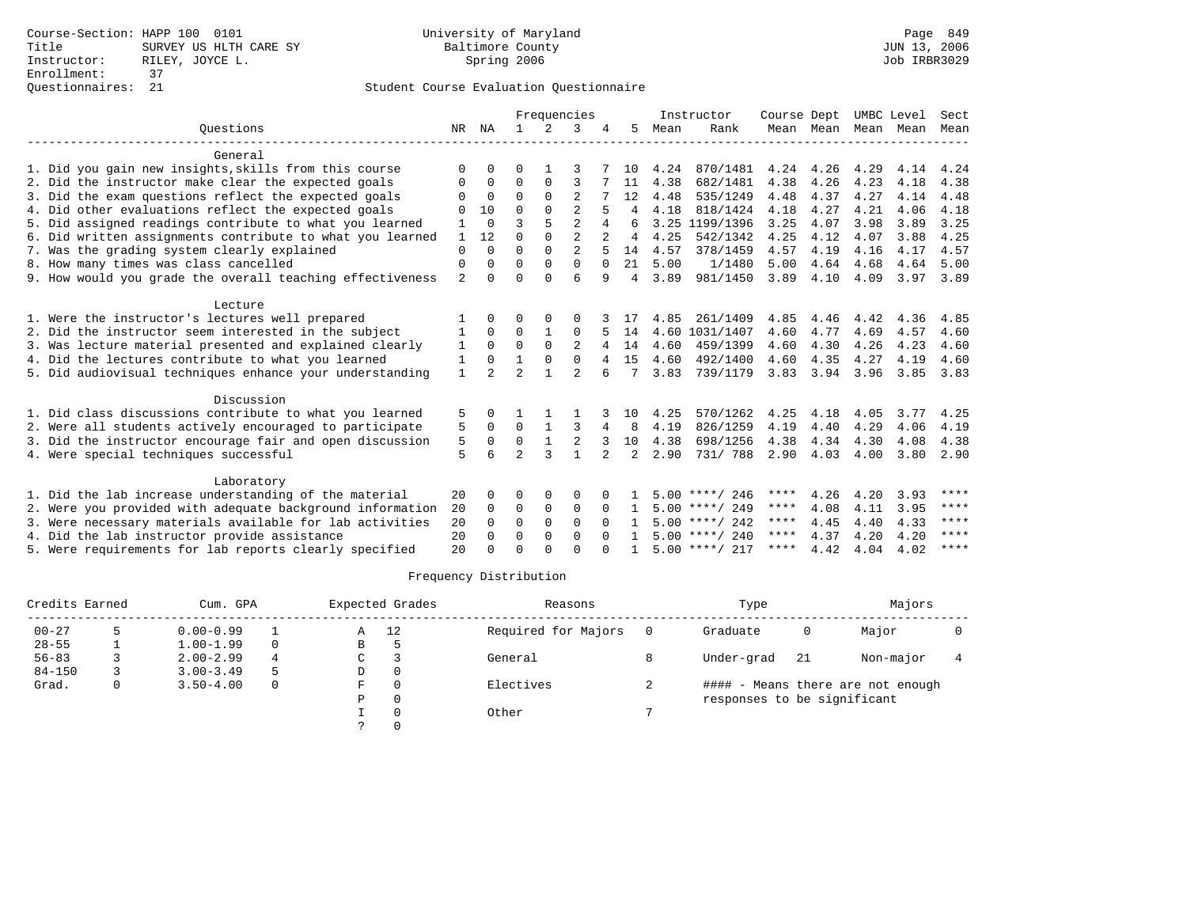|                                                           |                |                | Frequencies    |              |                |               |    |      | Instructor       | Course Dept |      | UMBC Level          |      | Sect |
|-----------------------------------------------------------|----------------|----------------|----------------|--------------|----------------|---------------|----|------|------------------|-------------|------|---------------------|------|------|
| Ouestions                                                 | NR             | ΝA             |                | 2            | 3              |               | 5  | Mean | Rank             |             |      | Mean Mean Mean Mean |      | Mean |
| General                                                   |                |                |                |              |                |               |    |      |                  |             |      |                     |      |      |
| 1. Did you gain new insights, skills from this course     | $\Omega$       | $\Omega$       | ∩              |              |                |               | 10 | 4.24 | 870/1481         | 4.24        | 4.26 | 4.29                | 4.14 | 4.24 |
| 2. Did the instructor make clear the expected goals       | 0              | $\Omega$       | $\Omega$       | $\Omega$     | 3              |               | 11 | 4.38 | 682/1481         | 4.38        | 4.26 | 4.23                | 4.18 | 4.38 |
| 3. Did the exam questions reflect the expected goals      | $\Omega$       | $\Omega$       | $\Omega$       | $\Omega$     | $\overline{2}$ |               | 12 | 4.48 | 535/1249         | 4.48        | 4.37 | 4.27                | 4.14 | 4.48 |
| 4. Did other evaluations reflect the expected goals       | ∩              | 10             | $\cap$         |              | $\mathfrak{D}$ |               | 4  | 4.18 | 818/1424         | 4.18        | 4.27 | 4.21                | 4.06 | 4.18 |
| 5. Did assigned readings contribute to what you learned   |                | $\Omega$       | 3              | 5            | $\overline{2}$ | 4             | 6  |      | 3.25 1199/1396   | 3.25        | 4.07 | 3.98                | 3.89 | 3.25 |
| 6. Did written assignments contribute to what you learned | 1              | 12             | $\Omega$       | $\Omega$     | $\overline{2}$ |               | 4  | 4.25 | 542/1342         | 4.25        | 4.12 | 4.07                | 3.88 | 4.25 |
| 7. Was the grading system clearly explained               | $\Omega$       | $\Omega$       | $\Omega$       | $\Omega$     | $\overline{a}$ |               | 14 | 4.57 | 378/1459         | 4.57        | 4.19 | 4.16                | 4.17 | 4.57 |
| 8. How many times was class cancelled                     | $\Omega$       | $\Omega$       | $\Omega$       | $\Omega$     | $\Omega$       | $\Omega$      | 21 | 5.00 | 1/1480           | 5.00        | 4.64 | 4.68                | 4.64 | 5.00 |
| 9. How would you grade the overall teaching effectiveness | $\overline{2}$ | $\cap$         | $\Omega$       | $\Omega$     | 6              | q             | 4  | 3.89 | 981/1450         | 3.89        | 4.10 | 4.09                | 3.97 | 3.89 |
| Lecture                                                   |                |                |                |              |                |               |    |      |                  |             |      |                     |      |      |
| 1. Were the instructor's lectures well prepared           |                |                | ∩              |              | O              |               |    | 4.85 | 261/1409         | 4.85        | 4.46 | 4.42                | 4.36 | 4.85 |
| 2. Did the instructor seem interested in the subject      |                | $\Omega$       | $\Omega$       |              | $\Omega$       |               | 14 |      | 4.60 1031/1407   | 4.60        | 4.77 | 4.69                | 4.57 | 4.60 |
| 3. Was lecture material presented and explained clearly   | 1              | $\Omega$       | $\Omega$       | $\Omega$     | $\overline{2}$ | 4             | 14 | 4.60 | 459/1399         | 4.60        | 4.30 | 4.26                | 4.23 | 4.60 |
| 4. Did the lectures contribute to what you learned        | 1              | $\Omega$       |                | 0            | $\Omega$       |               | 15 | 4.60 | 492/1400         | 4.60        | 4.35 | 4.27                | 4.19 | 4.60 |
| 5. Did audiovisual techniques enhance your understanding  | $\mathbf{1}$   | $\mathfrak{D}$ | $\overline{a}$ |              | $\mathfrak{D}$ |               | 7  | 3.83 | 739/1179         | 3.83        | 3.94 | 3.96                | 3.85 | 3.83 |
| Discussion                                                |                |                |                |              |                |               |    |      |                  |             |      |                     |      |      |
| 1. Did class discussions contribute to what you learned   | 5              |                |                |              |                |               | 10 | 4.25 | 570/1262         | 4.25        | 4.18 | 4.05                | 3.77 | 4.25 |
| 2. Were all students actively encouraged to participate   | 5              | $\Omega$       | $\Omega$       |              | 3              | 4             | 8  | 4.19 | 826/1259         | 4.19        | 4.40 | 4.29                | 4.06 | 4.19 |
| 3. Did the instructor encourage fair and open discussion  | 5              | $\Omega$       | 0              |              | 2              |               | 10 | 4.38 | 698/1256         | 4.38        | 4.34 | 4.30                | 4.08 | 4.38 |
| 4. Were special techniques successful                     | 5              | 6              | $\mathfrak{D}$ | $\mathbf{3}$ |                | $\mathcal{L}$ | 2  | 2.90 | 731/ 788         | 2.90        | 4.03 | 4.00                | 3.80 | 2.90 |
| Laboratory                                                |                |                |                |              |                |               |    |      |                  |             |      |                     |      |      |
| 1. Did the lab increase understanding of the material     | 20             | $\Omega$       | $\Omega$       | $\Omega$     | $\Omega$       |               |    |      | $5.00$ ****/ 246 | ****        | 4.26 | 4.20                | 3.93 | **** |
| 2. Were you provided with adequate background information | 20             | $\Omega$       | 0              | 0            | 0              | $\Omega$      |    |      | $5.00$ ****/ 249 | ****        | 4.08 | 4.11                | 3.95 | **** |
| 3. Were necessary materials available for lab activities  | 20             | $\Omega$       | $\Omega$       | $\Omega$     | $\Omega$       |               |    |      | $5.00$ ****/ 242 | ****        | 4.45 | 4.40                | 4.33 | **** |
| 4. Did the lab instructor provide assistance              | 20             | $\Omega$       | $\Omega$       | $\Omega$     | $\Omega$       | $\Omega$      |    |      | $5.00$ ****/ 240 | ****        | 4.37 | 4.20                | 4.20 | **** |
| 5. Were requirements for lab reports clearly specified    | 20             |                | $\Omega$       |              | $\cap$         |               |    |      | $5.00$ ****/ 217 | ****        | 4.42 | 4.04                | 4.02 | **** |

| Credits Earned | Cum. GPA |               |          |   | Expected Grades | Reasons             |   | Type                        |    | Majors                            |  |
|----------------|----------|---------------|----------|---|-----------------|---------------------|---|-----------------------------|----|-----------------------------------|--|
| $00 - 27$      |          | $0.00 - 0.99$ |          | Α | 12              | Required for Majors |   | Graduate                    |    | Major                             |  |
| $28 - 55$      |          | $1.00 - 1.99$ | $\Omega$ | B |                 |                     |   |                             |    |                                   |  |
| $56 - 83$      |          | $2.00 - 2.99$ | 4        | C |                 | General             |   | Under-grad                  | 21 | Non-major                         |  |
| $84 - 150$     |          | $3.00 - 3.49$ | 5        | D |                 |                     |   |                             |    |                                   |  |
| Grad.          | 0        | $3.50 - 4.00$ | 0        | F |                 | Electives           | ∠ |                             |    | #### - Means there are not enough |  |
|                |          |               |          | P |                 |                     |   | responses to be significant |    |                                   |  |
|                |          |               |          |   |                 | Other               |   |                             |    |                                   |  |
|                |          |               |          |   |                 |                     |   |                             |    |                                   |  |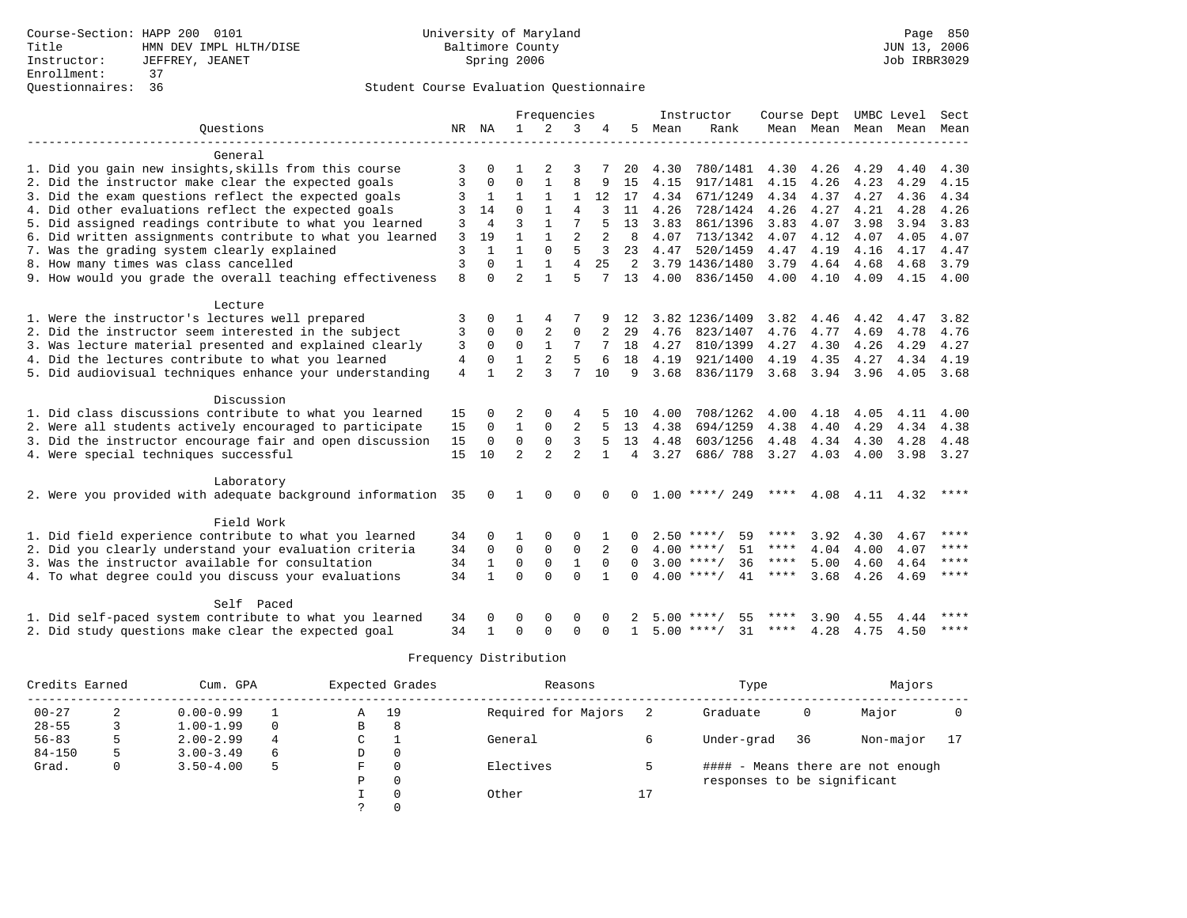|                                                              |    | Frequencies    |                |                |                |          | Instructor     | Course Dept |                    | UMBC Level  |                     | Sect |      |             |
|--------------------------------------------------------------|----|----------------|----------------|----------------|----------------|----------|----------------|-------------|--------------------|-------------|---------------------|------|------|-------------|
| Ouestions                                                    | NR | NA             | $\mathbf{1}$   | $\overline{2}$ | 3              |          | 5              | Mean        | Rank               |             | Mean Mean Mean Mean |      |      | Mean        |
|                                                              |    |                |                |                |                |          |                |             |                    |             |                     |      |      |             |
| General                                                      |    |                |                |                |                |          |                |             |                    |             |                     |      |      |             |
| 1. Did you gain new insights, skills from this course        | 3  |                |                |                | 3              |          | 20             | 4.30        | 780/1481           | 4.30        | 4.26                | 4.29 | 4.40 | 4.30        |
| 2. Did the instructor make clear the expected goals          | 3  | $\Omega$       | $\Omega$       |                | 8              |          | 15             | 4.15        | 917/1481           | 4.15        | 4.26                | 4.23 | 4.29 | 4.15        |
| 3. Did the exam questions reflect the expected goals         | 3  | 1              | 1              |                | 1              | 12       | 17             | 4.34        | 671/1249           | 4.34        | 4.37                | 4.27 | 4.36 | 4.34        |
| 4. Did other evaluations reflect the expected goals          | 3  | 14             | $\Omega$       |                | $\overline{4}$ |          | 11             | 4.26        | 728/1424           | 4.26        | 4.27                | 4.21 | 4.28 | 4.26        |
| 5. Did assigned readings contribute to what you learned      | 3  | $\overline{4}$ | 3              |                |                |          | 13             | 3.83        | 861/1396           | 3.83        | 4.07                | 3.98 | 3.94 | 3.83        |
| 6. Did written assignments contribute to what you learned    | 3  | 19             | $\mathbf{1}$   |                | $\overline{2}$ |          | 8              | 4.07        | 713/1342           | 4.07        | 4.12                | 4.07 | 4.05 | 4.07        |
| 7. Was the grading system clearly explained                  | 3  | $\mathbf{1}$   | $\mathbf{1}$   | $\Omega$       | 5              | 3        | 23             | 4.47        | 520/1459           | 4.47        | 4.19                | 4.16 | 4.17 | 4.47        |
| 8. How many times was class cancelled                        | 3  | $\Omega$       | $\mathbf{1}$   | $\mathbf{1}$   | $\overline{4}$ | 2.5      | 2              |             | 3.79 1436/1480     | 3.79        | 4.64                | 4.68 | 4.68 | 3.79        |
| 9. How would you grade the overall teaching effectiveness    | 8  | $\Omega$       | $\mathfrak{D}$ |                | 5              | 7        | 13             | 4.00        | 836/1450           | 4.00        | 4.10                | 4.09 | 4.15 | 4.00        |
|                                                              |    |                |                |                |                |          |                |             |                    |             |                     |      |      |             |
| Lecture                                                      |    |                |                |                |                |          |                |             |                    |             |                     |      |      |             |
| 1. Were the instructor's lectures well prepared              | 3  |                |                |                |                |          | 12             |             | 3.82 1236/1409     | 3.82        | 4.46                | 4.42 | 4.47 | 3.82        |
| 2. Did the instructor seem interested in the subject         | 3  | $\Omega$       | $\Omega$       | 2              | 0              |          | 29             | 4.76        | 823/1407           | 4.76        | 4.77                | 4.69 | 4.78 | 4.76        |
| 3. Was lecture material presented and explained clearly      | 3  | $\Omega$       | $\Omega$       | $\mathbf{1}$   | 7              |          | 18             | 4.27        | 810/1399           | 4.27        | 4.30                | 4.26 | 4.29 | 4.27        |
| 4. Did the lectures contribute to what you learned           | 4  | $\Omega$       | 1              | 2              | 5              |          | 18             | 4.19        | 921/1400           | 4.19        | 4.35                | 4.27 | 4.34 | 4.19        |
| 5. Did audiovisual techniques enhance your understanding     | 4  |                | $\mathfrak{D}$ | $\mathbf{3}$   | 7              | 10       | 9              | 3.68        | 836/1179           | 3.68        | 3.94                | 3.96 | 4.05 | 3.68        |
|                                                              |    |                |                |                |                |          |                |             |                    |             |                     |      |      |             |
| Discussion                                                   |    |                |                |                |                |          |                |             |                    |             |                     |      |      |             |
| 1. Did class discussions contribute to what you learned      | 15 | $\Omega$       | 2              | $\Omega$       | 4              |          | 10             | 4.00        | 708/1262           | 4.00        | 4.18                | 4.05 | 4.11 | 4.00        |
| 2. Were all students actively encouraged to participate      | 15 | $\Omega$       | $\mathbf{1}$   | $\Omega$       | 2              | 5        | 13             | 4.38        | 694/1259           | 4.38        | 4.40                | 4.29 | 4.34 | 4.38        |
| 3. Did the instructor encourage fair and open discussion     | 15 | $\mathbf 0$    | $\Omega$       | $\Omega$       | 3              | 5        | 13             | 4.48        | 603/1256           | 4.48        | 4.34                | 4.30 | 4.28 | 4.48        |
| 4. Were special techniques successful                        | 15 | 10             | $\overline{a}$ | $\overline{2}$ | $\mathfrak{D}$ |          | $\overline{4}$ | 3.27        | 686/788            | 3.27        | 4.03                | 4.00 | 3.98 | 3.27        |
|                                                              |    |                |                |                |                |          |                |             |                    |             |                     |      |      |             |
| Laboratory                                                   |    |                |                |                |                |          |                |             |                    |             |                     |      |      |             |
| 2. Were you provided with adequate background information 35 |    | 0              | 1              | $\Omega$       | <sup>0</sup>   |          | $\Omega$       |             | $1.00$ ****/ 249   | $***$ * *   | 4.08                | 4.11 | 4.32 | ****        |
|                                                              |    |                |                |                |                |          |                |             |                    |             |                     |      |      |             |
| Field Work                                                   |    |                |                |                |                |          |                |             |                    |             |                     |      |      |             |
| 1. Did field experience contribute to what you learned       | 34 | $\Omega$       |                | $\Omega$       | $\Omega$       |          | $\cap$         |             | $2.50$ ****/<br>59 | ****        | 3.92                | 4.30 | 4.67 | ****        |
| 2. Did you clearly understand your evaluation criteria       | 34 | $\Omega$       | $\Omega$       | $\mathbf 0$    | $\mathbf 0$    | 2        | $\Omega$       |             | $4.00$ ****/<br>51 | $***$ * * * | 4.04                | 4.00 | 4.07 | $* * * *$   |
| 3. Was the instructor available for consultation             | 34 |                | $\mathbf 0$    | $\mathbf 0$    | $\mathbf{1}$   | $\Omega$ | $\Omega$       |             | $3.00$ ****/<br>36 | $***$ * *   | 5.00                | 4.60 | 4.64 | $* * * * *$ |
| 4. To what degree could you discuss your evaluations         | 34 | $\mathbf{1}$   | $\Omega$       | $\Omega$       | $\Omega$       |          | $\Omega$       |             | $4.00$ ****/<br>41 | $***$ * * * | 3.68                | 4.26 | 4.69 | $***$       |
|                                                              |    |                |                |                |                |          |                |             |                    |             |                     |      |      |             |
| Self Paced                                                   |    |                |                |                |                |          |                |             |                    |             |                     |      |      | ****        |
| 1. Did self-paced system contribute to what you learned      | 34 |                | ∩              | $\Omega$       | O              |          |                |             | $5.00$ ****/<br>55 | ****        | 3.90                | 4.55 | 4.44 |             |
| 2. Did study questions make clear the expected goal          | 34 | 1              | $\Omega$       | $\Omega$       | $\Omega$       | $\Omega$ | $\mathbf{1}$   |             | $5.00$ ****/<br>31 | ****        | 4.28                | 4.75 | 4.50 | $***$ * * * |

| Credits Earned |   | Cum. GPA      |          |   | Expected Grades | Reasons             |    | Type                        |    | Majors                            |    |
|----------------|---|---------------|----------|---|-----------------|---------------------|----|-----------------------------|----|-----------------------------------|----|
| $00 - 27$      |   | $0.00 - 0.99$ |          | Α | 19              | Required for Majors |    | Graduate                    | 0  | Major                             |    |
| $28 - 55$      |   | $1.00 - 1.99$ | $\Omega$ | В | 8               |                     |    |                             |    |                                   |    |
| $56 - 83$      |   | $2.00 - 2.99$ | 4        | C |                 | General             |    | Under-grad                  | 36 | Non-major                         | 17 |
| $84 - 150$     |   | $3.00 - 3.49$ | 6        | D |                 |                     |    |                             |    |                                   |    |
| Grad.          | 0 | $3.50 - 4.00$ | 5        | F |                 | Electives           |    |                             |    | #### - Means there are not enough |    |
|                |   |               |          | Ρ | 0               |                     |    | responses to be significant |    |                                   |    |
|                |   |               |          |   |                 | Other               | Τ. |                             |    |                                   |    |
|                |   |               |          |   |                 |                     |    |                             |    |                                   |    |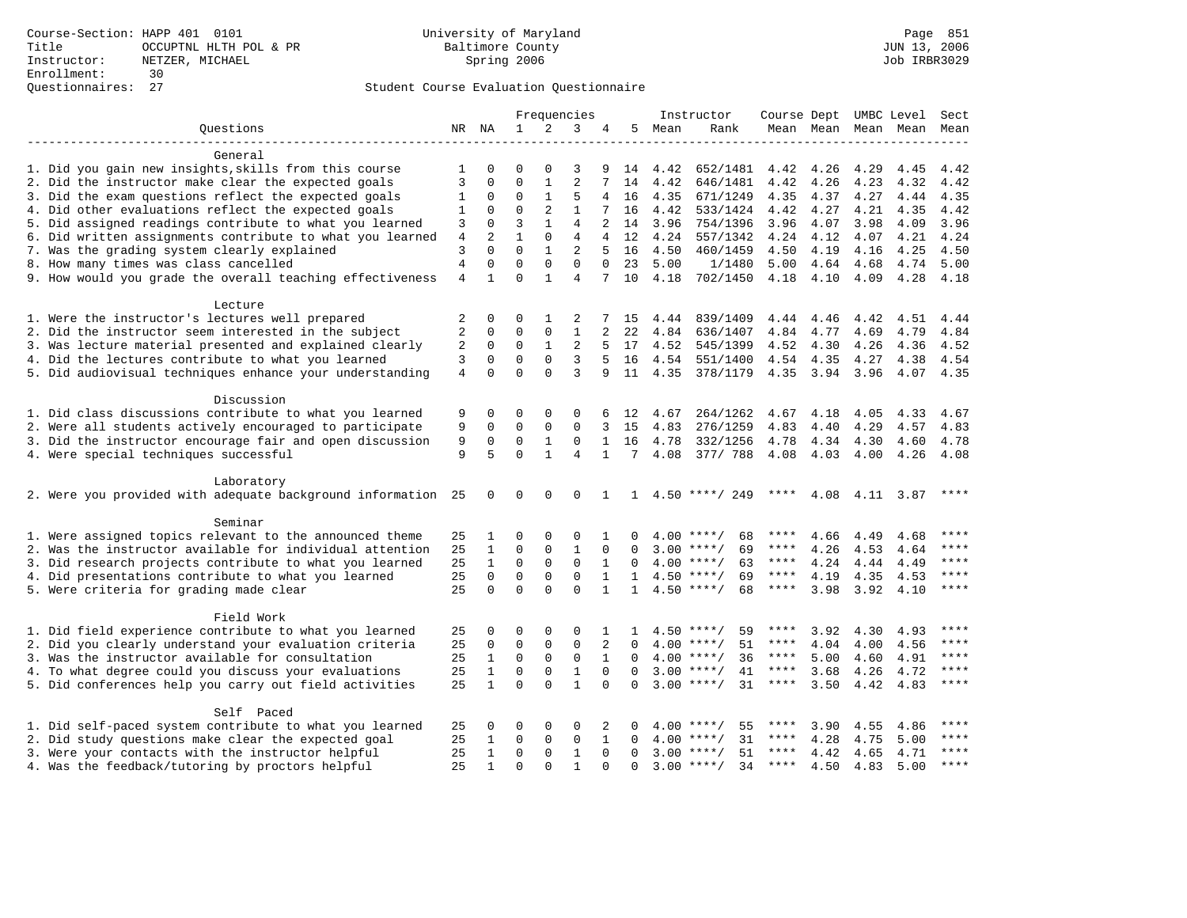|                                                              |    |                            |                          |              | Frequencies    |                |              |      | Instructor               |             |           |      | Course Dept UMBC Level | Sect         |
|--------------------------------------------------------------|----|----------------------------|--------------------------|--------------|----------------|----------------|--------------|------|--------------------------|-------------|-----------|------|------------------------|--------------|
| Questions                                                    |    | NR NA                      | $\mathbf{1}$             | 2            | 3              | 4              | 5            | Mean | Rank                     |             |           |      | Mean Mean Mean Mean    | Mean         |
| General                                                      |    |                            |                          |              |                |                |              |      |                          |             |           |      |                        |              |
| 1. Did you gain new insights, skills from this course        | 1  | $\Omega$                   | $\Omega$                 | 0            | 3              | 9              | 14           | 4.42 | 652/1481                 | 4.42        | 4.26      | 4.29 | 4.45                   | 4.42         |
| 2. Did the instructor make clear the expected goals          | 3  | 0                          | $\Omega$                 | 1            | $\overline{2}$ | 7              | 14           | 4.42 | 646/1481                 | 4.42        | 4.26      | 4.23 | 4.32                   | 4.42         |
| 3. Did the exam questions reflect the expected goals         | 1  | 0                          | 0                        | $\mathbf{1}$ | 5              | 4              | 16           | 4.35 | 671/1249                 | 4.35        | 4.37      | 4.27 | 4.44                   | 4.35         |
| 4. Did other evaluations reflect the expected goals          |    | $\mathbf 0$                | $\Omega$                 | 2            | $\mathbf{1}$   | 7              | 16           |      |                          |             |           |      | 4.35                   |              |
|                                                              | 1  |                            |                          |              |                |                |              | 4.42 | 533/1424                 | 4.42        | 4.27      | 4.21 |                        | 4.42         |
| 5. Did assigned readings contribute to what you learned      | 3  | $\mathbf 0$                | 3                        | $\mathbf{1}$ | $\overline{4}$ | $\overline{a}$ | 14           | 3.96 | 754/1396                 | 3.96        | 4.07      | 3.98 | 4.09                   | 3.96         |
| 6. Did written assignments contribute to what you learned    | 4  | $\overline{2}$<br>$\Omega$ | $\mathbf{1}$<br>$\Omega$ | $\mathbf{0}$ | 4              | $\overline{4}$ | 12           | 4.24 | 557/1342                 | 4.24        | 4.12      | 4.07 | 4.21                   | 4.24         |
| 7. Was the grading system clearly explained                  | 3  |                            |                          | $\mathbf{1}$ | $\overline{a}$ | 5              | 16           | 4.50 | 460/1459                 | 4.50        | 4.19      | 4.16 | 4.25                   | 4.50         |
| 8. How many times was class cancelled                        | 4  | $\Omega$                   | $\Omega$                 | $\Omega$     | $\Omega$       | $\Omega$       | 23           | 5.00 | 1/1480                   | 5.00        | 4.64      | 4.68 | 4.74                   | 5.00         |
| 9. How would you grade the overall teaching effectiveness    | 4  | $\mathbf{1}$               | $\Omega$                 | $\mathbf{1}$ | 4              |                | 10           | 4.18 | 702/1450                 | 4.18        | 4.10      | 4.09 | 4.28                   | 4.18         |
| Lecture                                                      |    |                            |                          |              |                |                |              |      |                          |             |           |      |                        |              |
| 1. Were the instructor's lectures well prepared              | 2  | 0                          | 0                        | 1            | 2              | 7              | 15           | 4.44 | 839/1409                 | 4.44        | 4.46      | 4.42 | 4.51                   | 4.44         |
| 2. Did the instructor seem interested in the subject         | 2  | $\mathbf 0$                | $\Omega$                 | 0            | $\mathbf{1}$   | 2              | 22           | 4.84 | 636/1407                 | 4.84        | 4.77      | 4.69 | 4.79                   | 4.84         |
| 3. Was lecture material presented and explained clearly      | 2  | $\mathbf 0$                | 0                        | $\mathbf{1}$ | 2              | 5              | 17           | 4.52 | 545/1399                 | 4.52        | 4.30      | 4.26 | 4.36                   | 4.52         |
| 4. Did the lectures contribute to what you learned           | 3  | $\mathbf 0$                | $\mathbf 0$              | $\mathbf 0$  | 3              |                | 16           | 4.54 | 551/1400                 | 4.54        | 4.35      | 4.27 | 4.38                   | 4.54         |
| 5. Did audiovisual techniques enhance your understanding     | 4  | $\Omega$                   | $\Omega$                 | $\Omega$     | 3              | 9              | 11           | 4.35 | 378/1179                 |             | 4.35 3.94 | 3.96 | 4.07                   | 4.35         |
|                                                              |    |                            |                          |              |                |                |              |      |                          |             |           |      |                        |              |
| Discussion                                                   |    |                            |                          |              |                |                |              |      |                          |             |           |      |                        |              |
| 1. Did class discussions contribute to what you learned      | 9  | 0                          | $\Omega$                 | 0            | $\Omega$       | 6              | 12           | 4.67 | 264/1262                 | 4.67        | 4.18      | 4.05 | 4.33                   | 4.67         |
| 2. Were all students actively encouraged to participate      | 9  | $\mathbf 0$                | $\mathbf 0$              | $\mathbf{0}$ | $\Omega$       | 3              | 15           | 4.83 | 276/1259                 | 4.83        | 4.40      | 4.29 | 4.57                   | 4.83         |
| 3. Did the instructor encourage fair and open discussion     | 9  | $\mathbf 0$                | $\mathbf 0$              | 1            | 0              | $\mathbf{1}$   | 16           | 4.78 | 332/1256                 | 4.78        | 4.34      | 4.30 | 4.60                   | 4.78         |
| 4. Were special techniques successful                        | 9  | 5                          | $\Omega$                 | $\mathbf{1}$ | $\overline{4}$ | $\mathbf 1$    | 7            | 4.08 | 377/ 788                 | 4.08        | 4.03      | 4.00 | 4.26                   | 4.08         |
| Laboratory                                                   |    |                            |                          |              |                |                |              |      |                          |             |           |      |                        |              |
| 2. Were you provided with adequate background information 25 |    | 0                          | 0                        | 0            | 0              | 1              |              |      | $1 \quad 4.50$ ****/ 249 | ****        |           |      | 4.08 4.11 3.87         | ****         |
|                                                              |    |                            |                          |              |                |                |              |      |                          |             |           |      |                        |              |
| Seminar                                                      |    |                            |                          |              |                |                |              |      |                          |             |           |      |                        |              |
| 1. Were assigned topics relevant to the announced theme      | 25 | 1                          | $\Omega$                 | 0            | $\Omega$       | 1              | 0            |      | $4.00$ ****/<br>68       | ****        | 4.66      | 4.49 | 4.68                   |              |
| 2. Was the instructor available for individual attention     | 25 | 1                          | $\mathbf 0$              | 0            | $\mathbf{1}$   | $\Omega$       | $\Omega$     |      | $3.00$ ****/<br>69       | ****        | 4.26      | 4.53 | 4.64                   | ****<br>**** |
| 3. Did research projects contribute to what you learned      | 25 | $\mathbf{1}$               | $\mathbf 0$              | $\mathbf 0$  | $\mathbf 0$    | 1              | $\Omega$     |      | $4.00$ ****/<br>63       | $***$ * * * | 4.24      | 4.44 | 4.49                   | ****         |
| 4. Did presentations contribute to what you learned          | 25 | $\mathbf 0$                | $\mathbf 0$              | $\mathbf{0}$ | $\mathbf 0$    | 1              | $\mathbf{1}$ |      | $4.50$ ****/<br>69       | $***$ * * * | 4.19      | 4.35 | 4.53                   |              |
| 5. Were criteria for grading made clear                      | 25 | $\mathbf 0$                | $\mathbf 0$              | $\Omega$     | $\mathbf 0$    | $\mathbf{1}$   | $\mathbf{1}$ |      | $4.50$ ****/<br>68       | $***$ * * * | 3.98      | 3.92 | 4.10                   | ****         |
| Field Work                                                   |    |                            |                          |              |                |                |              |      |                          |             |           |      |                        |              |
| 1. Did field experience contribute to what you learned       | 25 | 0                          | 0                        | 0            | 0              | 1              | 1            |      | $4.50$ ****/<br>59       |             | 3.92      | 4.30 | 4.93                   | ****         |
| 2. Did you clearly understand your evaluation criteria       | 25 | 0                          | 0                        | 0            | $\mathbf 0$    | 2              | $\Omega$     |      | 51<br>$4.00$ ****/       | ****        | 4.04      | 4.00 | 4.56                   | ****         |
| 3. Was the instructor available for consultation             | 25 | $\mathbf{1}$               | $\mathbf 0$              | $\mathbf 0$  | $\mathbf 0$    | $\mathbf{1}$   | $\Omega$     |      | 36<br>$4.00$ ****/       | ****        | 5.00      | 4.60 | 4.91                   | ****         |
| 4. To what degree could you discuss your evaluations         | 25 | $\mathbf{1}$               | $\mathbf 0$              | $\mathsf 0$  | $\mathbf{1}$   | $\mathbf 0$    | $\Omega$     | 3.00 | $***$ /<br>41            | ****        | 3.68      | 4.26 | 4.72                   | ****         |
| 5. Did conferences help you carry out field activities       |    | $\mathbf{1}$               | $\Omega$                 | $\Omega$     | $\mathbf{1}$   | $\Omega$       | $\Omega$     |      | 31<br>$3.00$ ****/       | ****        | 3.50      | 4.42 | 4.83                   | $***$        |
|                                                              |    |                            |                          |              |                |                |              |      |                          |             |           |      |                        |              |
| Self Paced                                                   |    |                            |                          |              |                |                |              |      |                          |             |           |      |                        | $***$        |
| 1. Did self-paced system contribute to what you learned      | 25 | 0                          | 0                        | 0            | $\Omega$       | 2              | 0            | 4.00 | $***/$<br>55             | ****        | 3.90      | 4.55 | 4.86                   | $***$        |
| 2. Did study questions make clear the expected goal          | 25 | $\mathbf{1}$               | $\mathbf 0$              | $\mathbf{0}$ | $\mathbf 0$    | 1              | $\Omega$     | 4.00 | 31<br>$***/$             | ****        | 4.28      | 4.75 | 5.00                   |              |
| 3. Were your contacts with the instructor helpful            | 25 | 1                          | $\mathbf 0$              | 0            | $\mathbf{1}$   | $\Omega$       | $\Omega$     |      | $3.00$ ****/<br>51       | ****        | 4.42      | 4.65 | 4.71                   | $***$ * * *  |
| 4. Was the feedback/tutoring by proctors helpful             | 25 | $\mathbf{1}$               | $\Omega$                 | $\Omega$     | 1              | $\Omega$       | $\Omega$     |      | $3.00$ ****/<br>34       | $***$ * * * | 4.50      | 4.83 | 5.00                   | $***$        |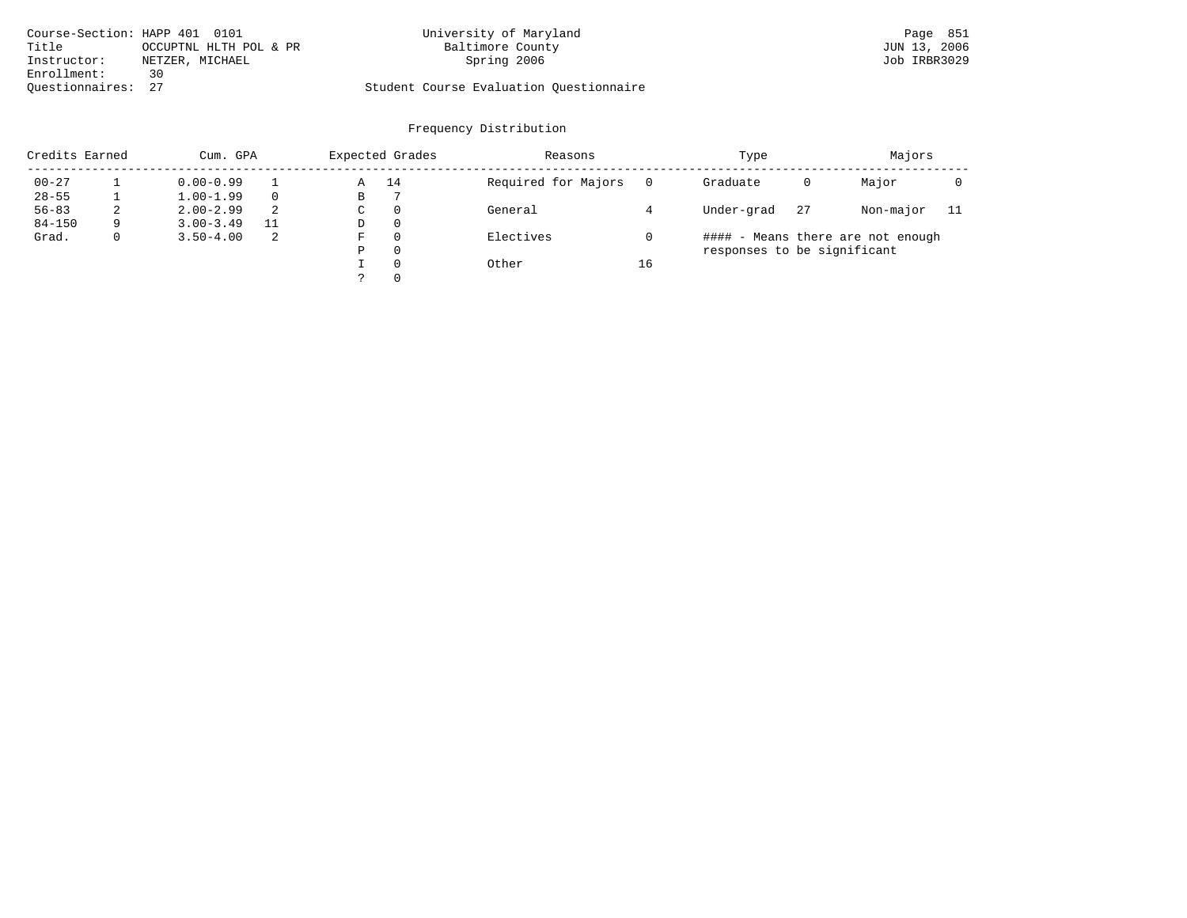| Course-Section: HAPP 401 0101 |                        | University of Maryland                  | Page 851     |
|-------------------------------|------------------------|-----------------------------------------|--------------|
| Title                         | OCCUPTNL HLTH POL & PR | Baltimore County                        | JUN 13, 2006 |
| Instructor:                   | NETZER, MICHAEL        | Spring 2006                             | Job IRBR3029 |
| Enrollment:                   | 30                     |                                         |              |
| Ouestionnaires: 27            |                        | Student Course Evaluation Ouestionnaire |              |

| Credits Earned |   | Cum. GPA      |    |             | Expected Grades | Reasons             |    | Type                        |    | Majors                            |     |
|----------------|---|---------------|----|-------------|-----------------|---------------------|----|-----------------------------|----|-----------------------------------|-----|
| $00 - 27$      |   | $0.00 - 0.99$ |    | Α           | 14              | Required for Majors |    | Graduate                    | 0  | Major                             |     |
| $28 - 55$      |   | $1.00 - 1.99$ |    | В           |                 |                     |    |                             |    |                                   |     |
| $56 - 83$      | 2 | $2.00 - 2.99$ | 2  | $\sim$<br>◡ | 0               | General             |    | Under-grad                  | 27 | Non-major                         | -11 |
| $84 - 150$     | 9 | $3.00 - 3.49$ | 11 | D           | 0               |                     |    |                             |    |                                   |     |
| Grad.          | 0 | $3.50 - 4.00$ | -2 | F           |                 | Electives           |    |                             |    | #### - Means there are not enough |     |
|                |   |               |    | Ρ           | 0               |                     |    | responses to be significant |    |                                   |     |
|                |   |               |    |             | $\Omega$        | Other               | 16 |                             |    |                                   |     |
|                |   |               |    | っ           | 0               |                     |    |                             |    |                                   |     |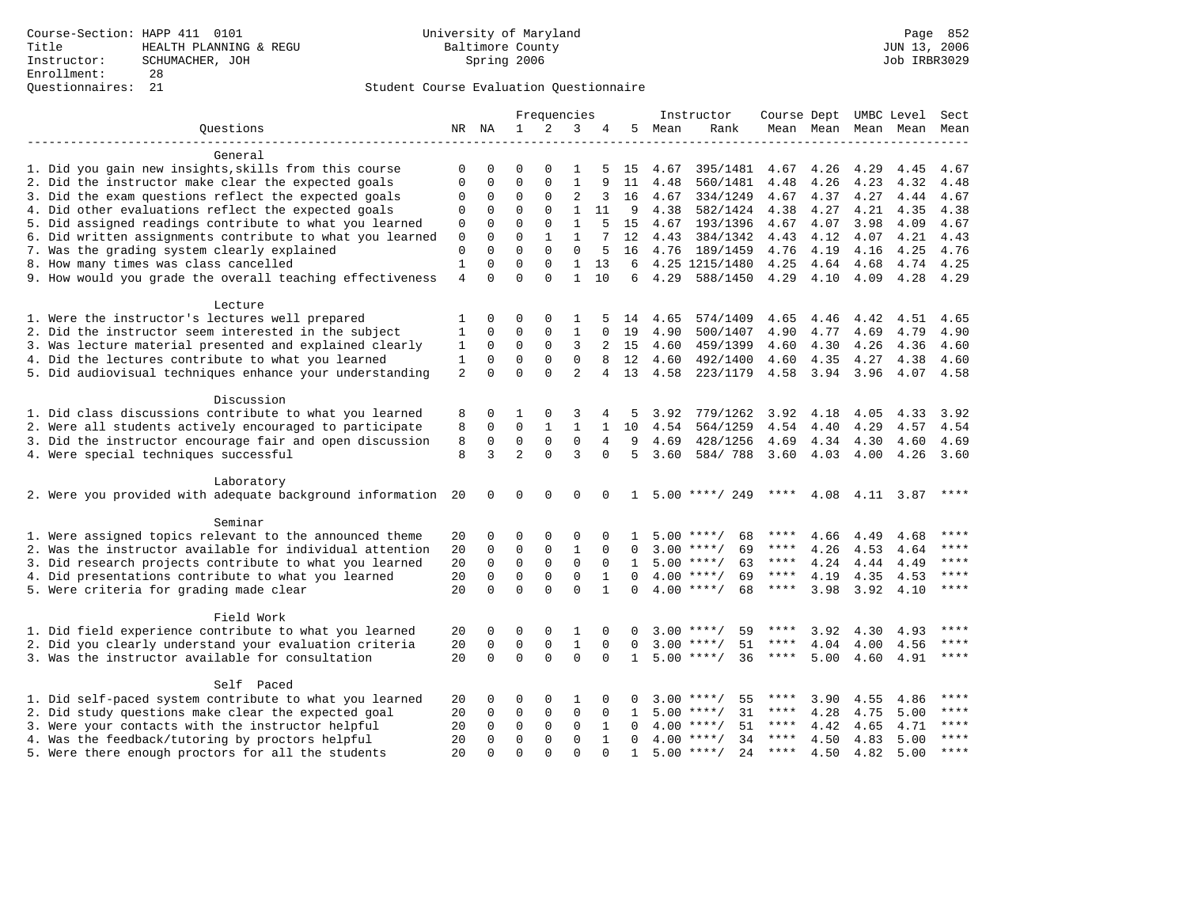|                                                                                                          |                  |             |                | Frequencies  |                |              |              |              | Instructor                 |              |              |      | Course Dept UMBC Level Sect |           |
|----------------------------------------------------------------------------------------------------------|------------------|-------------|----------------|--------------|----------------|--------------|--------------|--------------|----------------------------|--------------|--------------|------|-----------------------------|-----------|
| Ouestions                                                                                                |                  | NR NA       | $\mathbf{1}$   | 2            | 3              |              | 5            | Mean         | Rank                       |              |              |      | Mean Mean Mean Mean         | Mean      |
| General                                                                                                  |                  |             |                |              |                |              |              |              |                            |              |              |      |                             |           |
| 1. Did you gain new insights, skills from this course                                                    | 0                | 0           | $\Omega$       | $\Omega$     | 1              | 5            | 15           | 4.67         | 395/1481                   | 4.67         | 4.26         | 4.29 | 4.45                        | 4.67      |
| 2. Did the instructor make clear the expected goals                                                      | $\Omega$         | 0           | $\Omega$       | $\Omega$     | $\mathbf{1}$   | 9            | 11           | 4.48         | 560/1481                   | 4.48         | 4.26         | 4.23 | 4.32                        | 4.48      |
| 3. Did the exam questions reflect the expected goals                                                     | 0                | 0           | $\Omega$       | $\Omega$     | $\overline{2}$ | 3            | 16           | 4.67         | 334/1249                   | 4.67         | 4.37         | 4.27 | 4.44                        | 4.67      |
| 4. Did other evaluations reflect the expected goals                                                      | $\Omega$         | 0           | $\Omega$       | $\Omega$     | 1              | 11           | 9            | 4.38         | 582/1424                   | 4.38         | 4.27         | 4.21 | 4.35                        | 4.38      |
| 5. Did assigned readings contribute to what you learned                                                  |                  | $\Omega$    | $\Omega$       | $\Omega$     | $\mathbf{1}$   |              | 15           | 4.67         | 193/1396                   | 4.67         | 4.07         | 3.98 | 4.09                        | 4.67      |
|                                                                                                          | 0<br>$\mathsf 0$ | 0           | $\Omega$       | $\mathbf{1}$ | $\mathbf{1}$   | 7            | 12           |              |                            |              | 4.12         | 4.07 | 4.21                        | 4.43      |
| 6. Did written assignments contribute to what you learned<br>7. Was the grading system clearly explained | $\mathbf 0$      | $\Omega$    | $\Omega$       | $\Omega$     | $\mathbf 0$    | 5            | 16           | 4.43<br>4.76 | 384/1342                   | 4.43<br>4.76 |              |      | 4.25                        | 4.76      |
| 8. How many times was class cancelled                                                                    | $\mathbf{1}$     | 0           | $\Omega$       | $\Omega$     | $\mathbf{1}$   | 13           | 6            |              | 189/1459<br>4.25 1215/1480 | 4.25         | 4.19<br>4.64 | 4.16 | 4.74                        | 4.25      |
|                                                                                                          | $\overline{4}$   | $\Omega$    | $\Omega$       | $\Omega$     | $\mathbf{1}$   | 10           | 6            | 4.29         |                            |              |              | 4.68 |                             |           |
| 9. How would you grade the overall teaching effectiveness                                                |                  |             |                |              |                |              |              |              | 588/1450                   | 4.29         | 4.10         | 4.09 | 4.28                        | 4.29      |
| Lecture                                                                                                  |                  |             |                |              |                |              |              |              |                            |              |              |      |                             |           |
| 1. Were the instructor's lectures well prepared                                                          | 1                | 0           | $\Omega$       | $\Omega$     | 1              | 5            | 14           | 4.65         | 574/1409                   | 4.65         | 4.46         | 4.42 | 4.51                        | 4.65      |
| 2. Did the instructor seem interested in the subject                                                     | $\mathbf{1}$     | $\mathbf 0$ | $\mathbf{0}$   | 0            | $\mathbf{1}$   | $\Omega$     | 19           | 4.90         | 500/1407                   | 4.90         | 4.77         | 4.69 | 4.79                        | 4.90      |
| 3. Was lecture material presented and explained clearly                                                  | 1                | $\Omega$    | 0              | 0            | 3              | 2            | 15           | 4.60         | 459/1399                   | 4.60         | 4.30         | 4.26 | 4.36                        | 4.60      |
| 4. Did the lectures contribute to what you learned                                                       | 1                | $\Omega$    | $\Omega$       | $\Omega$     | $\mathbf 0$    | 8            | 12           | 4.60         | 492/1400                   | 4.60         | 4.35         | 4.27 | 4.38                        | 4.60      |
| 5. Did audiovisual techniques enhance your understanding                                                 | $\overline{a}$   | $\Omega$    | $\Omega$       | $\Omega$     | $\overline{2}$ | 4            | 13           | 4.58         | 223/1179                   | 4.58         | 3.94         | 3.96 |                             | 4.07 4.58 |
|                                                                                                          |                  |             |                |              |                |              |              |              |                            |              |              |      |                             |           |
| Discussion                                                                                               |                  |             |                |              |                |              |              |              |                            |              |              |      |                             |           |
| 1. Did class discussions contribute to what you learned                                                  | 8                | 0           | 1              | $\Omega$     | 3              | 4            | 5            | 3.92         | 779/1262                   | 3.92         | 4.18         | 4.05 | 4.33                        | 3.92      |
| 2. Were all students actively encouraged to participate                                                  | 8                | 0           | 0              | 1            | 1              | $\mathbf{1}$ | 10           | 4.54         | 564/1259                   | 4.54         | 4.40         | 4.29 | 4.57                        | 4.54      |
| 3. Did the instructor encourage fair and open discussion                                                 | 8                | 0           | $\mathbf 0$    | $\mathbf 0$  | $\mathbf 0$    | 4            | 9            | 4.69         | 428/1256                   | 4.69         | 4.34         | 4.30 | 4.60                        | 4.69      |
| 4. Were special techniques successful                                                                    | 8                | 3           | $\overline{2}$ | $\Omega$     | 3              | $\Omega$     | 5            | 3.60         | 584/788                    | 3.60         | 4.03         | 4.00 | 4.26                        | 3.60      |
| Laboratory                                                                                               |                  |             |                |              |                |              |              |              |                            |              |              |      |                             |           |
| 2. Were you provided with adequate background information                                                | 20               | 0           | $\mathbf 0$    | $\Omega$     | $\Omega$       | $\Omega$     | $\mathbf{1}$ |              | $5.00$ ****/ 249           | ****         | 4.08         | 4.11 | 3.87                        | ****      |
| Seminar                                                                                                  |                  |             |                |              |                |              |              |              |                            |              |              |      |                             |           |
| 1. Were assigned topics relevant to the announced theme                                                  | 20               | 0           | $\Omega$       | $\Omega$     | 0              | $\Omega$     | 1.           |              | $5.00$ ****/<br>68         | ****         | 4.66         | 4.49 | 4.68                        | ****      |
| 2. Was the instructor available for individual attention                                                 | 20               | $\mathbf 0$ | $\mathbf 0$    | 0            | $\mathbf{1}$   | $\Omega$     | $\Omega$     |              | $3.00$ ****/<br>69         | ****         | 4.26         | 4.53 | 4.64                        | ****      |
| 3. Did research projects contribute to what you learned                                                  | 20               | $\mathbf 0$ | $\mathbf 0$    | $\mathsf 0$  | $\mathbf 0$    | $\Omega$     | $\mathbf{1}$ |              | $5.00$ ****/<br>63         | $***$ * * *  | 4.24         | 4.44 | 4.49                        | ****      |
| 4. Did presentations contribute to what you learned                                                      | 20               | $\mathbf 0$ | $\mathbf 0$    | $\Omega$     | $\Omega$       | $\mathbf{1}$ | $\Omega$     |              | $4.00$ ****/<br>69         | $***$ * *    | 4.19         | 4.35 | 4.53                        | $***$     |
| 5. Were criteria for grading made clear                                                                  | 20               | $\Omega$    | $\Omega$       | $\Omega$     | $\Omega$       | $\mathbf{1}$ | $\Omega$     |              | $4.00$ ****/<br>68         | ****         | 3.98         | 3.92 | 4.10                        | $***$     |
|                                                                                                          |                  |             |                |              |                |              |              |              |                            |              |              |      |                             |           |
| Field Work                                                                                               |                  |             |                |              |                |              |              |              |                            |              |              |      |                             |           |
| 1. Did field experience contribute to what you learned                                                   | 20               | 0           | $\Omega$       | $\Omega$     | 1              | $\Omega$     | 0            | 3.00         | $***$ /<br>59              | ****         | 3.92         | 4.30 | 4.93                        | ****      |
| 2. Did you clearly understand your evaluation criteria                                                   | 20               | 0           | $\mathbf{0}$   | $\mathbf 0$  | $\mathbf{1}$   | $\Omega$     | $\Omega$     | 3.00         | 51<br>$***$ /              | ****         | 4.04         | 4.00 | 4.56                        | $***$     |
| 3. Was the instructor available for consultation                                                         | 20               | $\Omega$    | $\Omega$       | $\Omega$     | $\Omega$       | $\Omega$     | $\mathbf{1}$ |              | $5.00$ ****/<br>36         | $***$ * * *  | 5.00         | 4.60 | 4.91                        | $***$     |
| Self Paced                                                                                               |                  |             |                |              |                |              |              |              |                            |              |              |      |                             |           |
| 1. Did self-paced system contribute to what you learned                                                  | 20               | 0           | $\Omega$       | $\Omega$     | 1              | $\Omega$     | O            |              | $3.00$ ****/<br>55         | ****         | 3.90         | 4.55 | 4.86                        |           |
| 2. Did study questions make clear the expected goal                                                      | 20               | $\Omega$    | $\mathbf{0}$   | 0            | $\mathbf 0$    | 0            | 1            | 5.00         | 31<br>$***/$               | ****         | 4.28         | 4.75 | 5.00                        | ****      |
| 3. Were your contacts with the instructor helpful                                                        | 20               | $\Omega$    | $\mathbf 0$    | 0            | $\mathbf 0$    | $\mathbf{1}$ | <sup>0</sup> |              | 51<br>$4.00$ ****/         | $***$ * * *  | 4.42         | 4.65 | 4.71                        | ****      |
| 4. Was the feedback/tutoring by proctors helpful                                                         | 20               | $\Omega$    | $\Omega$       | 0            | $\Omega$       | $\mathbf{1}$ | <sup>0</sup> |              | $4.00$ ****/<br>34         | $***$ * * *  | 4.50         | 4.83 | 5.00                        | $***$     |
|                                                                                                          |                  | $\Omega$    | $\Omega$       | $\Omega$     | $\Omega$       | $\Omega$     |              |              | $5.00$ ****/<br>24         | $***$ * * *  |              |      |                             | $***$     |
| 5. Were there enough proctors for all the students                                                       | 20               |             |                |              |                |              | $\mathbf{1}$ |              |                            |              | 4.50         | 4.82 | 5.00                        |           |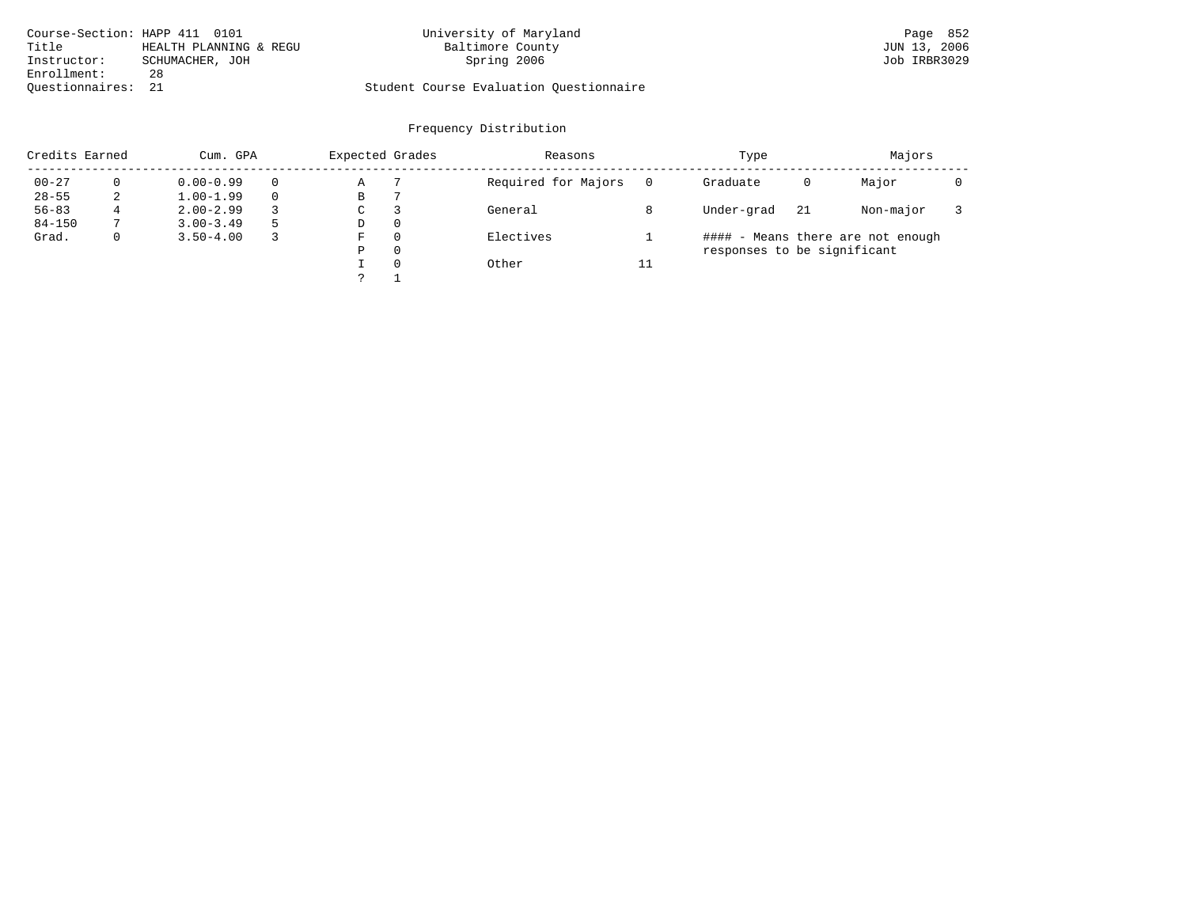| Course-Section: HAPP 411 0101 |                        | University of Maryland                  | Page 852     |
|-------------------------------|------------------------|-----------------------------------------|--------------|
| Title                         | HEALTH PLANNING & REGU | Baltimore County                        | JUN 13, 2006 |
| Instructor:                   | SCHUMACHER, JOH        | Spring 2006                             | Job IRBR3029 |
| Enrollment:                   | 28                     |                                         |              |
| Ouestionnaires:               | 21                     | Student Course Evaluation Questionnaire |              |

| Credits Earned |              | Cum. GPA      |  |   | Expected Grades | Reasons             |    | Type                        |     | Majors                            |  |
|----------------|--------------|---------------|--|---|-----------------|---------------------|----|-----------------------------|-----|-----------------------------------|--|
| $00 - 27$      |              | $0.00 - 0.99$ |  | Α |                 | Required for Majors |    | Graduate                    | 0   | Major                             |  |
| $28 - 55$      | 2            | $1.00 - 1.99$ |  | В |                 |                     |    |                             |     |                                   |  |
| $56 - 83$      |              | $2.00 - 2.99$ |  | C | 3               | General             |    | Under-grad                  | -21 | Non-major                         |  |
| $84 - 150$     |              | $3.00 - 3.49$ |  | D | 0               |                     |    |                             |     |                                   |  |
| Grad.          | $\mathbf{0}$ | $3.50 - 4.00$ |  | F | $\Omega$        | Electives           |    |                             |     | #### - Means there are not enough |  |
|                |              |               |  | P | $\Omega$        |                     |    | responses to be significant |     |                                   |  |
|                |              |               |  |   | $\Omega$        | Other               | 11 |                             |     |                                   |  |
|                |              |               |  |   |                 |                     |    |                             |     |                                   |  |